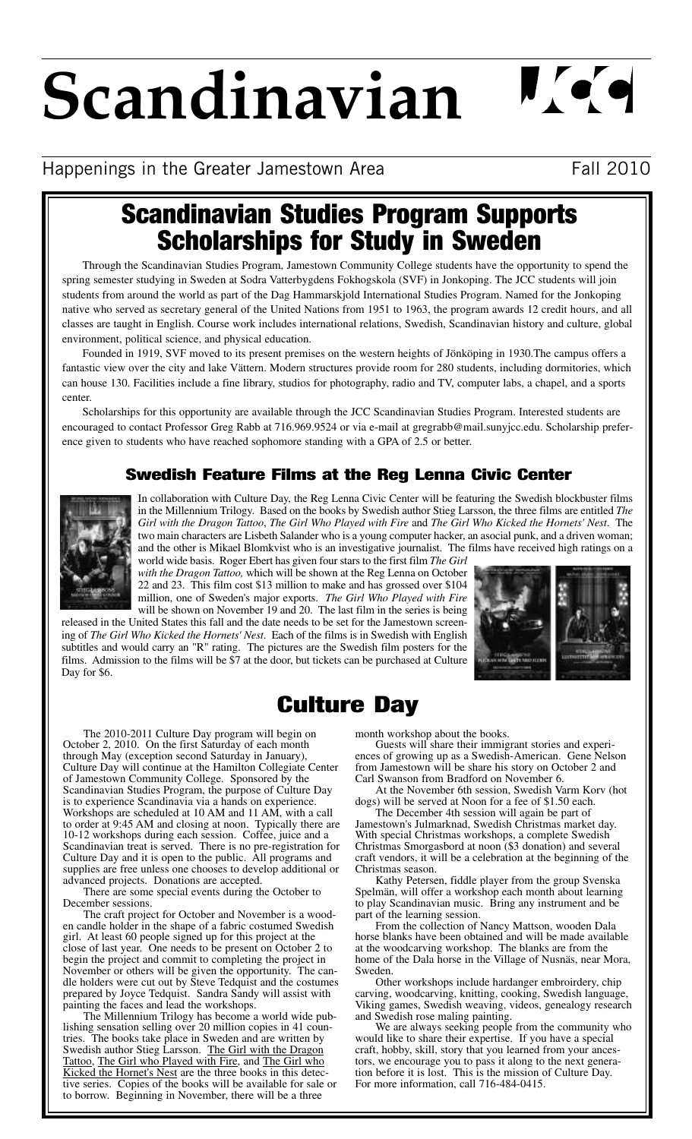# **Scandinavian**

 $\mathbf{U}$  or  $\mathbf{Q}$ 

# Happenings in the Greater Jamestown Area Fall 2010

# **Scandinavian Studies Program Supports Scholarships for Study in Sweden**

Through the Scandinavian Studies Program, Jamestown Community College students have the opportunity to spend the spring semester studying in Sweden at Sodra Vatterbygdens Fokhogskola (SVF) in Jonkoping. The JCC students will join students from around the world as part of the Dag Hammarskjold International Studies Program. Named for the Jonkoping native who served as secretary general of the United Nations from 1951 to 1963, the program awards 12 credit hours, and all classes are taught in English. Course work includes international relations, Swedish, Scandinavian history and culture, global environment, political science, and physical education.

Founded in 1919, SVF moved to its present premises on the western heights of Jönköping in 1930.The campus offers a fantastic view over the city and lake Vättern. Modern structures provide room for 280 students, including dormitories, which can house 130. Facilities include a fine library, studios for photography, radio and TV, computer labs, a chapel, and a sports center.

Scholarships for this opportunity are available through the JCC Scandinavian Studies Program. Interested students are encouraged to contact Professor Greg Rabb at 716.969.9524 or via e-mail at gregrabb@mail.sunyjcc.edu. Scholarship preference given to students who have reached sophomore standing with a GPA of 2.5 or better.

## **Swedish Feature Films at the Reg Lenna Civic Center**



In collaboration with Culture Day, the Reg Lenna Civic Center will be featuring the Swedish blockbuster films in the Millennium Trilogy. Based on the books by Swedish author Stieg Larsson, the three films are entitled *The Girl with the Dragon Tattoo*, *The Girl Who Played with Fire* and *The Girl Who Kicked the Hornets' Nest*. The two main characters are Lisbeth Salander who is a young computer hacker, an asocial punk, and a driven woman; and the other is Mikael Blomkvist who is an investigative journalist. The films have received high ratings on a

world wide basis. Roger Ebert has given four stars to the first film *The Girl with the Dragon Tattoo,* which will be shown at the Reg Lenna on October 22 and 23. This film cost \$13 million to make and has grossed over \$104 million, one of Sweden's major exports. *The Girl Who Played with Fire*

will be shown on November 19 and 20. The last film in the series is being released in the United States this fall and the date needs to be set for the Jamestown screening of *The Girl Who Kicked the Hornets' Nest*. Each of the films is in Swedish with English subtitles and would carry an "R" rating. The pictures are the Swedish film posters for the films. Admission to the films will be \$7 at the door, but tickets can be purchased at Culture Day for \$6.



# **Culture Day**

The 2010-2011 Culture Day program will begin on October 2, 2010. On the first Saturday of each month through May (exception second Saturday in January), Culture Day will continue at the Hamilton Collegiate Center of Jamestown Community College. Sponsored by the Scandinavian Studies Program, the purpose of Culture Day is to experience Scandinavia via a hands on experience. Workshops are scheduled at 10 AM and 11 AM, with a call to order at 9:45 AM and closing at noon. Typically there are 10-12 workshops during each session. Coffee, juice and a Scandinavian treat is served. There is no pre-registration for Culture Day and it is open to the public. All programs and supplies are free unless one chooses to develop additional or advanced projects. Donations are accepted.

There are some special events during the October to December sessions.

The craft project for October and November is a wooden candle holder in the shape of a fabric costumed Swedish girl. At least 60 people signed up for this project at the close of last year. One needs to be present on October 2 to begin the project and commit to completing the project in November or others will be given the opportunity. The candle holders were cut out by Steve Tedquist and the costumes prepared by Joyce Tedquist. Sandra Sandy will assist with painting the faces and lead the workshops.

The Millennium Trilogy has become a world wide publishing sensation selling over 20 million copies in 41 countries. The books take place in Sweden and are written by Swedish author Stieg Larsson. The Girl with the Dragon Tattoo, The Girl who Played with Fire, and The Girl who Kicked the Hornet's Nest are the three books in this detective series. Copies of the books will be available for sale or to borrow. Beginning in November, there will be a three

month workshop about the books.

Guests will share their immigrant stories and experiences of growing up as a Swedish-American. Gene Nelson from Jamestown will be share his story on October 2 and Carl Swanson from Bradford on November 6.

At the November 6th session, Swedish Varm Korv (hot dogs) will be served at Noon for a fee of \$1.50 each.

The December 4th session will again be part of Jamestown's Julmarknad, Swedish Christmas market day. With special Christmas workshops, a complete Swedish Christmas Smorgasbord at noon (\$3 donation) and several craft vendors, it will be a celebration at the beginning of the Christmas season.

Kathy Petersen, fiddle player from the group Svenska Spelmän, will offer a workshop each month about learning to play Scandinavian music. Bring any instrument and be part of the learning session.

From the collection of Nancy Mattson, wooden Dala horse blanks have been obtained and will be made available at the woodcarving workshop. The blanks are from the home of the Dala horse in the Village of Nusnäs, near Mora, Sweden.

Other workshops include hardanger embroirdery, chip carving, woodcarving, knitting, cooking, Swedish language, Viking games, Swedish weaving, videos, genealogy research and Swedish rose maling painting.

We are always seeking people from the community who would like to share their expertise. If you have a special craft, hobby, skill, story that you learned from your ancestors, we encourage you to pass it along to the next generation before it is lost. This is the mission of Culture Day. For more information, call 716-484-0415.